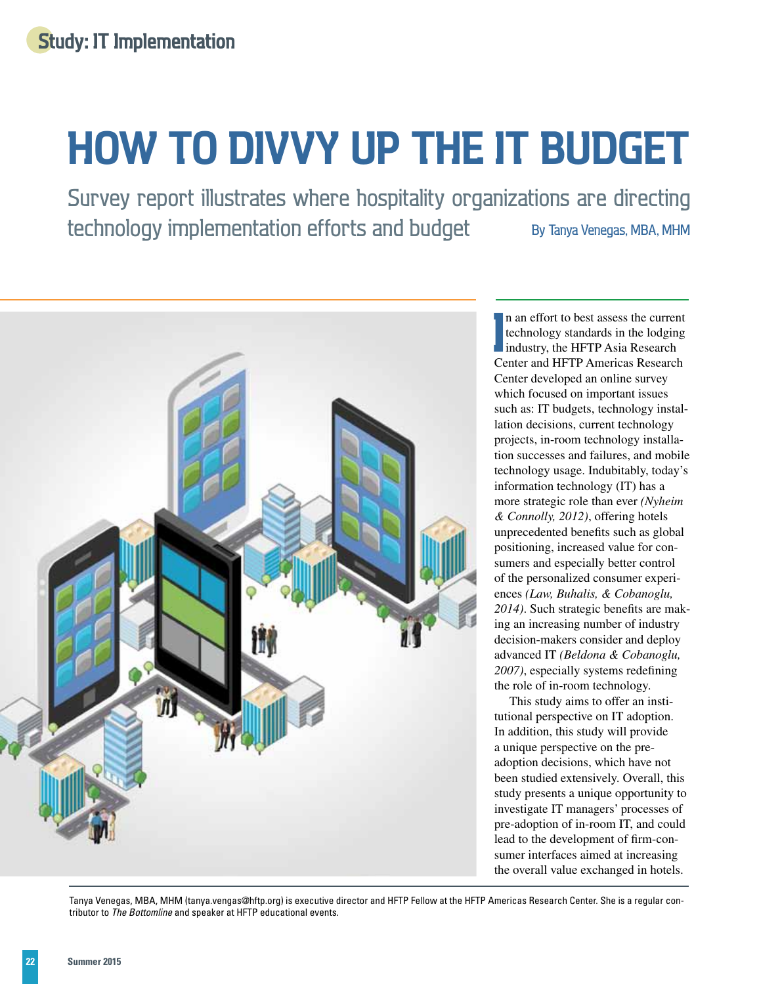# **how to divvy up the IT budget**

Survey report illustrates where hospitality organizations are directing technology implementation efforts and budget By Tanya Venegas, MBA, MHM



In an effort to best assess the current<br>
technology standards in the lodging<br> **I** industry, the HFTP Asia Research<br>
Center and HFTP Americas Research n an effort to best assess the current technology standards in the lodging industry, the HFTP Asia Research Center developed an online survey which focused on important issues such as: IT budgets, technology installation decisions, current technology projects, in-room technology installation successes and failures, and mobile technology usage. Indubitably, today's information technology (IT) has a more strategic role than ever *(Nyheim & Connolly, 2012)*, offering hotels unprecedented benefits such as global positioning, increased value for consumers and especially better control of the personalized consumer experiences *(Law, Buhalis, & Cobanoglu, 2014)*. Such strategic benefits are making an increasing number of industry decision-makers consider and deploy advanced IT *(Beldona & Cobanoglu, 2007)*, especially systems redefining the role of in-room technology.

This study aims to offer an institutional perspective on IT adoption. In addition, this study will provide a unique perspective on the preadoption decisions, which have not been studied extensively. Overall, this study presents a unique opportunity to investigate IT managers' processes of pre-adoption of in-room IT, and could lead to the development of firm-consumer interfaces aimed at increasing the overall value exchanged in hotels.

Tanya Venegas, MBA, MHM [\(tanya.vengas@hftp.org\) is](mailto:tanya.vengas@hftp.org) executive director and HFTP Fellow at the HFTP Americas Research Center. She is a regular contributor to *The Bottomline* and speaker at HFTP educational events.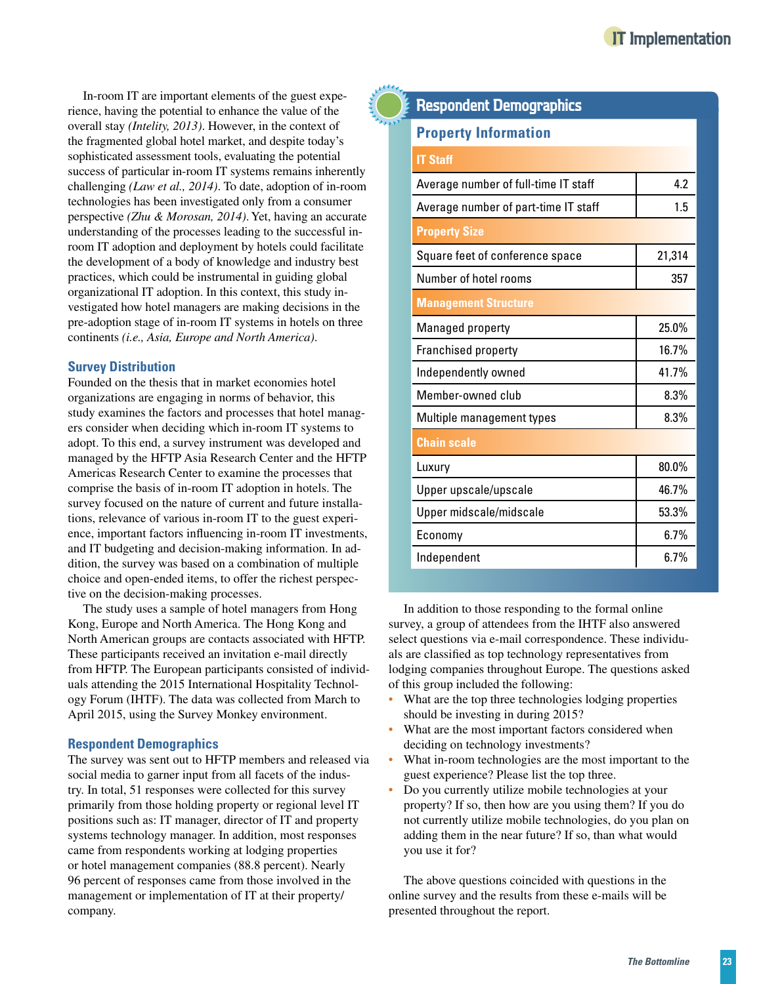In-room IT are important elements of the guest experience, having the potential to enhance the value of the overall stay *(Intelity, 2013)*. However, in the context of the fragmented global hotel market, and despite today's sophisticated assessment tools, evaluating the potential success of particular in-room IT systems remains inherently challenging *(Law et al., 2014)*. To date, adoption of in-room technologies has been investigated only from a consumer perspective *(Zhu & Morosan, 2014)*. Yet, having an accurate understanding of the processes leading to the successful inroom IT adoption and deployment by hotels could facilitate the development of a body of knowledge and industry best practices, which could be instrumental in guiding global organizational IT adoption. In this context, this study investigated how hotel managers are making decisions in the pre-adoption stage of in-room IT systems in hotels on three continents *(i.e., Asia, Europe and North America)*.

## **Survey Distribution**

Founded on the thesis that in market economies hotel organizations are engaging in norms of behavior, this study examines the factors and processes that hotel managers consider when deciding which in-room IT systems to adopt. To this end, a survey instrument was developed and managed by the HFTP Asia Research Center and the HFTP Americas Research Center to examine the processes that comprise the basis of in-room IT adoption in hotels. The survey focused on the nature of current and future installations, relevance of various in-room IT to the guest experience, important factors influencing in-room IT investments, and IT budgeting and decision-making information. In addition, the survey was based on a combination of multiple choice and open-ended items, to offer the richest perspective on the decision-making processes.

The study uses a sample of hotel managers from Hong Kong, Europe and North America. The Hong Kong and North American groups are contacts associated with HFTP. These participants received an invitation e-mail directly from HFTP. The European participants consisted of individuals attending the 2015 International Hospitality Technology Forum (IHTF). The data was collected from March to April 2015, using the Survey Monkey environment.

## **Respondent Demographics**

The survey was sent out to HFTP members and released via social media to garner input from all facets of the industry. In total, 51 responses were collected for this survey primarily from those holding property or regional level IT positions such as: IT manager, director of IT and property systems technology manager. In addition, most responses came from respondents working at lodging properties or hotel management companies (88.8 percent). Nearly 96 percent of responses came from those involved in the management or implementation of IT at their property/ company.

## **Respondent Demographics**

## **Property Information**

| <b>IT Staff</b>                      |          |  |  |  |  |
|--------------------------------------|----------|--|--|--|--|
| Average number of full-time IT staff | 4.2      |  |  |  |  |
| Average number of part-time IT staff | 1.5      |  |  |  |  |
| <b>Property Size</b>                 |          |  |  |  |  |
| Square feet of conference space      | 21,314   |  |  |  |  |
| Number of hotel rooms                | 357      |  |  |  |  |
| <b>Management Structure</b>          |          |  |  |  |  |
| Managed property                     | 25.0%    |  |  |  |  |
| <b>Franchised property</b>           | 16.7%    |  |  |  |  |
| Independently owned                  | 41.7%    |  |  |  |  |
| Member-owned club                    | 8.3%     |  |  |  |  |
| Multiple management types            | 8.3%     |  |  |  |  |
| <b>Chain scale</b>                   |          |  |  |  |  |
| Luxury                               | $80.0\%$ |  |  |  |  |
| Upper upscale/upscale                | 46.7%    |  |  |  |  |
| Upper midscale/midscale              | 53.3%    |  |  |  |  |
| Economy                              | 6.7%     |  |  |  |  |
| Independent                          | 6.7%     |  |  |  |  |

In addition to those responding to the formal online survey, a group of attendees from the IHTF also answered select questions via e-mail correspondence. These individuals are classified as top technology representatives from lodging companies throughout Europe. The questions asked of this group included the following:

- What are the top three technologies lodging properties should be investing in during 2015?
- What are the most important factors considered when deciding on technology investments?
- What in-room technologies are the most important to the guest experience? Please list the top three.
- Do you currently utilize mobile technologies at your property? If so, then how are you using them? If you do not currently utilize mobile technologies, do you plan on adding them in the near future? If so, than what would you use it for?

The above questions coincided with questions in the online survey and the results from these e-mails will be presented throughout the report.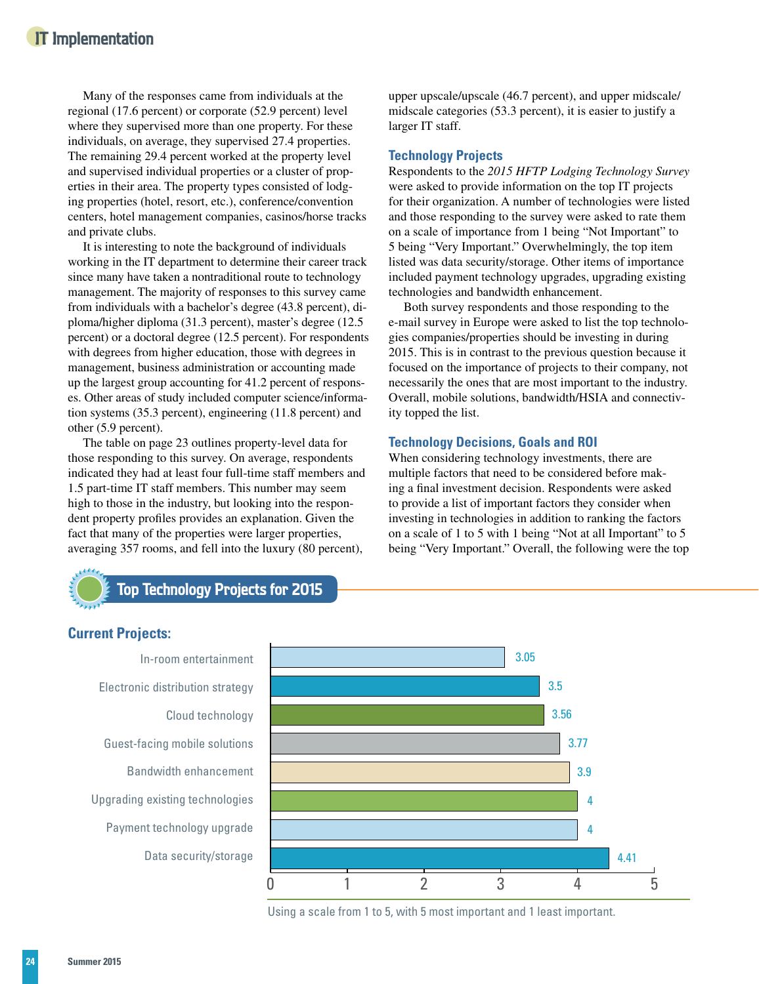Many of the responses came from individuals at the regional (17.6 percent) or corporate (52.9 percent) level where they supervised more than one property. For these individuals, on average, they supervised 27.4 properties. The remaining 29.4 percent worked at the property level and supervised individual properties or a cluster of properties in their area. The property types consisted of lodging properties (hotel, resort, etc.), conference/convention centers, hotel management companies, casinos/horse tracks and private clubs.

It is interesting to note the background of individuals working in the IT department to determine their career track since many have taken a nontraditional route to technology management. The majority of responses to this survey came from individuals with a bachelor's degree (43.8 percent), diploma/higher diploma (31.3 percent), master's degree (12.5 percent) or a doctoral degree (12.5 percent). For respondents with degrees from higher education, those with degrees in management, business administration or accounting made up the largest group accounting for 41.2 percent of responses. Other areas of study included computer science/information systems (35.3 percent), engineering (11.8 percent) and other (5.9 percent).

The table on page 23 outlines property-level data for those responding to this survey. On average, respondents indicated they had at least four full-time staff members and 1.5 part-time IT staff members. This number may seem high to those in the industry, but looking into the respondent property profiles provides an explanation. Given the fact that many of the properties were larger properties, averaging 357 rooms, and fell into the luxury (80 percent),

upper upscale/upscale (46.7 percent), and upper midscale/ midscale categories (53.3 percent), it is easier to justify a larger IT staff.

## **Technology Projects**

Respondents to the *2015 HFTP Lodging Technology Survey* were asked to provide information on the top IT projects for their organization. A number of technologies were listed and those responding to the survey were asked to rate them on a scale of importance from 1 being "Not Important" to 5 being "Very Important." Overwhelmingly, the top item listed was data security/storage. Other items of importance included payment technology upgrades, upgrading existing technologies and bandwidth enhancement.

Both survey respondents and those responding to the e-mail survey in Europe were asked to list the top technologies companies/properties should be investing in during 2015. This is in contrast to the previous question because it focused on the importance of projects to their company, not necessarily the ones that are most important to the industry. Overall, mobile solutions, bandwidth/HSIA and connectivity topped the list.

## **Technology Decisions, Goals and ROI**

When considering technology investments, there are multiple factors that need to be considered before making a final investment decision. Respondents were asked to provide a list of important factors they consider when investing in technologies in addition to ranking the factors on a scale of 1 to 5 with 1 being "Not at all Important" to 5 being "Very Important." Overall, the following were the top



# **Top Technology Projects for 2015**

# **Current Projects:**

In-room entertainment Electronic distribution strategy Cloud technology Guest-facing mobile solutions Bandwidth enhancement Upgrading existing technologies Payment technology upgrade Data security/storage



Using a scale from 1 to 5, with 5 most important and 1 least important.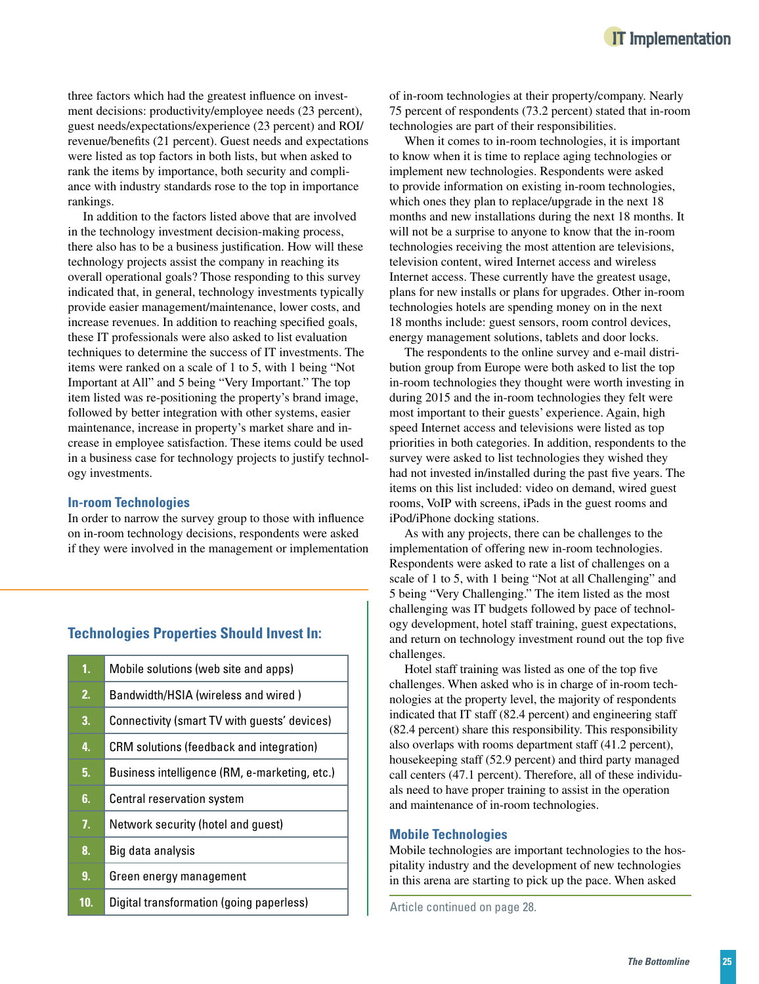three factors which had the greatest influence on investment decisions: productivity/employee needs (23 percent), guest needs/expectations/experience (23 percent) and ROI/ revenue/benefits (21 percent). Guest needs and expectations were listed as top factors in both lists, but when asked to rank the items by importance, both security and compliance with industry standards rose to the top in importance rankings.

In addition to the factors listed above that are involved in the technology investment decision-making process, there also has to be a business justification. How will these technology projects assist the company in reaching its overall operational goals? Those responding to this survey indicated that, in general, technology investments typically provide easier management/maintenance, lower costs, and increase revenues. In addition to reaching specified goals, these IT professionals were also asked to list evaluation techniques to determine the success of IT investments. The items were ranked on a scale of 1 to 5, with 1 being "Not Important at All" and 5 being "Very Important." The top item listed was re-positioning the property's brand image, followed by better integration with other systems, easier maintenance, increase in property's market share and increase in employee satisfaction. These items could be used in a business case for technology projects to justify technology investments.

#### **In-room Technologies**

In order to narrow the survey group to those with influence on in-room technology decisions, respondents were asked if they were involved in the management or implementation

## **Technologies Properties Should Invest In:**

| 1.             | Mobile solutions (web site and apps)            |
|----------------|-------------------------------------------------|
| 2.             | Bandwidth/HSIA (wireless and wired)             |
| 3.             | Connectivity (smart TV with guests' devices)    |
| 4.             | <b>CRM</b> solutions (feedback and integration) |
| 5.             | Business intelligence (RM, e-marketing, etc.)   |
| 6.             | Central reservation system                      |
| 7 <sub>1</sub> | Network security (hotel and guest)              |
| 8.             | Big data analysis                               |
| 9.             | Green energy management                         |
| 10.            | Digital transformation (going paperless)        |

of in-room technologies at their property/company. Nearly 75 percent of respondents (73.2 percent) stated that in-room technologies are part of their responsibilities.

When it comes to in-room technologies, it is important to know when it is time to replace aging technologies or implement new technologies. Respondents were asked to provide information on existing in-room technologies, which ones they plan to replace/upgrade in the next 18 months and new installations during the next 18 months. It will not be a surprise to anyone to know that the in-room technologies receiving the most attention are televisions, television content, wired Internet access and wireless Internet access. These currently have the greatest usage, plans for new installs or plans for upgrades. Other in-room technologies hotels are spending money on in the next 18 months include: guest sensors, room control devices, energy management solutions, tablets and door locks.

The respondents to the online survey and e-mail distribution group from Europe were both asked to list the top in-room technologies they thought were worth investing in during 2015 and the in-room technologies they felt were most important to their guests' experience. Again, high speed Internet access and televisions were listed as top priorities in both categories. In addition, respondents to the survey were asked to list technologies they wished they had not invested in/installed during the past five years. The items on this list included: video on demand, wired guest rooms, VoIP with screens, iPads in the guest rooms and iPod/iPhone docking stations.

As with any projects, there can be challenges to the implementation of offering new in-room technologies. Respondents were asked to rate a list of challenges on a scale of 1 to 5, with 1 being "Not at all Challenging" and 5 being "Very Challenging." The item listed as the most challenging was IT budgets followed by pace of technology development, hotel staff training, guest expectations, and return on technology investment round out the top five challenges.

Hotel staff training was listed as one of the top five challenges. When asked who is in charge of in-room technologies at the property level, the majority of respondents indicated that IT staff (82.4 percent) and engineering staff (82.4 percent) share this responsibility. This responsibility also overlaps with rooms department staff (41.2 percent), housekeeping staff (52.9 percent) and third party managed call centers (47.1 percent). Therefore, all of these individuals need to have proper training to assist in the operation and maintenance of in-room technologies.

#### **Mobile Technologies**

Mobile technologies are important technologies to the hospitality industry and the development of new technologies in this arena are starting to pick up the pace. When asked

Article continued on page 28.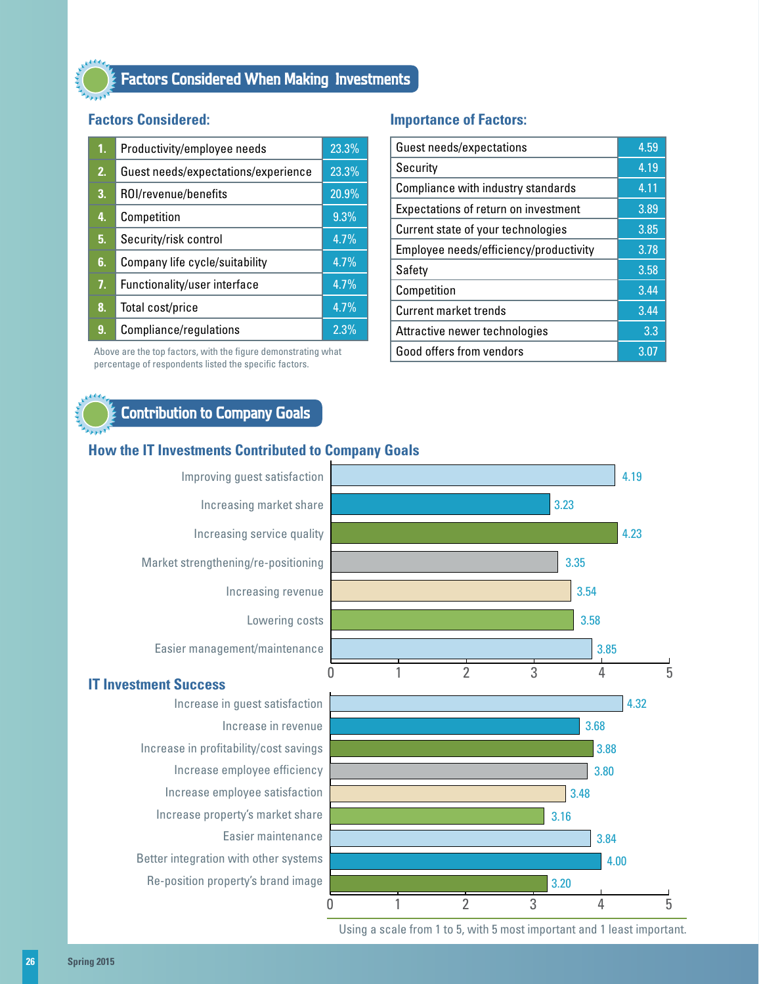# **Factors Considered When Making Investments**

# **Factors Considered:**

| 1. | Productivity/employee needs         | 23.3% |
|----|-------------------------------------|-------|
| 2. | Guest needs/expectations/experience | 23.3% |
| 3. | ROI/revenue/benefits                | 20.9% |
| 4. | Competition                         | 9.3%  |
| 5. | Security/risk control               | 4.7%  |
| 6. | Company life cycle/suitability      | 4.7%  |
| 7. | Functionality/user interface        | 4.7%  |
| 8. | Total cost/price                    | 4.7%  |
| 9. | Compliance/regulations              | 2.3%  |

Above are the top factors, with the figure demonstrating what percentage of respondents listed the specific factors.

## **Importance of Factors:**

| Guest needs/expectations               | 4.59 |
|----------------------------------------|------|
| Security                               | 4.19 |
| Compliance with industry standards     | 4.11 |
| Expectations of return on investment   | 3.89 |
| Current state of your technologies     | 3.85 |
| Employee needs/efficiency/productivity | 3.78 |
| Safety                                 | 3.58 |
| Competition                            | 3.44 |
| Current market trends                  | 3.44 |
| Attractive newer technologies          | 3.3  |
| Good offers from vendors               | 3.07 |

# **Contribution to Company Goals**

## **How the IT Investments Contributed to Company Goals**



Using a scale from 1 to 5, with 5 most important and 1 least important.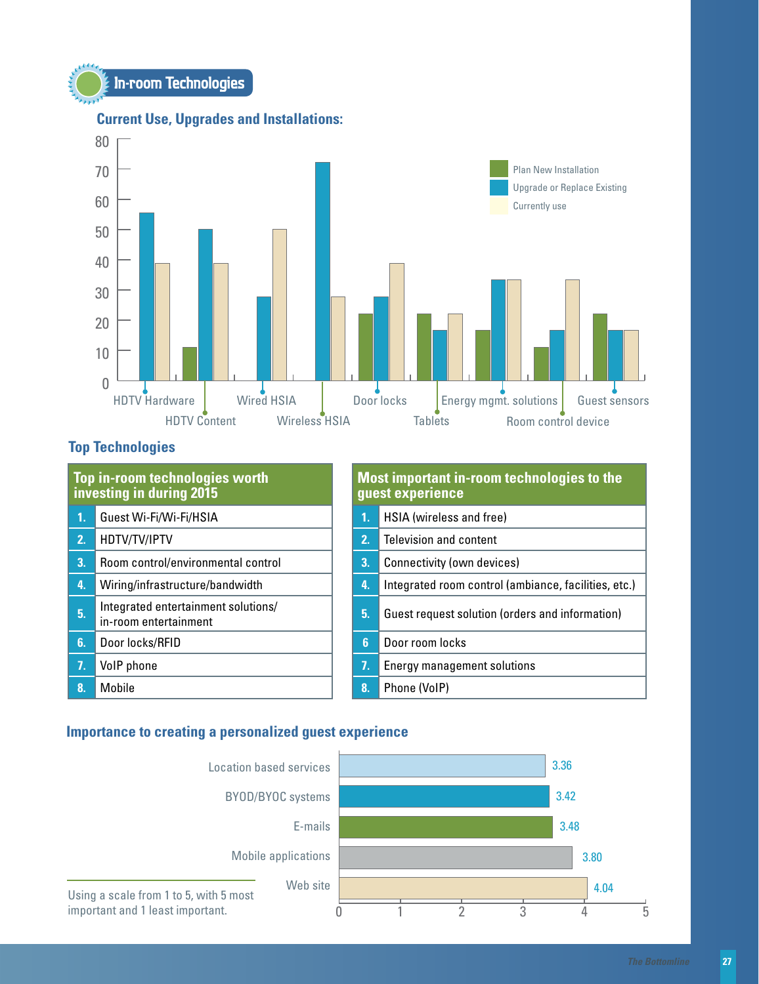



# **Current Use, Upgrades and Installations:**

# **Top Technologies**

| Top in-room technologies worth<br>investing in during 2015 |                                                              | Most important in-room technologies to the<br>guest experience |    |                                                      |
|------------------------------------------------------------|--------------------------------------------------------------|----------------------------------------------------------------|----|------------------------------------------------------|
| 1.                                                         | Guest Wi-Fi/Wi-Fi/HSIA                                       |                                                                | 1. | HSIA (wireless and free)                             |
| 2 <sub>1</sub>                                             | HDTV/TV/IPTV                                                 |                                                                | 2. | Television and content                               |
| 3.                                                         | Room control/environmental control                           |                                                                | 3. | Connectivity (own devices)                           |
| 4.                                                         | Wiring/infrastructure/bandwidth                              |                                                                | 4. | Integrated room control (ambiance, facilities, etc.) |
| 5.                                                         | Integrated entertainment solutions/<br>in-room entertainment |                                                                | 5. | Guest request solution (orders and information)      |
| 6.                                                         | Door locks/RFID                                              |                                                                | 6  | Door room locks                                      |
| 7.                                                         | VolP phone                                                   |                                                                | 7. | <b>Energy management solutions</b>                   |
| 8                                                          | Mobile                                                       |                                                                | 8. | Phone (VoIP)                                         |

# **Importance to creating a personalized guest experience**